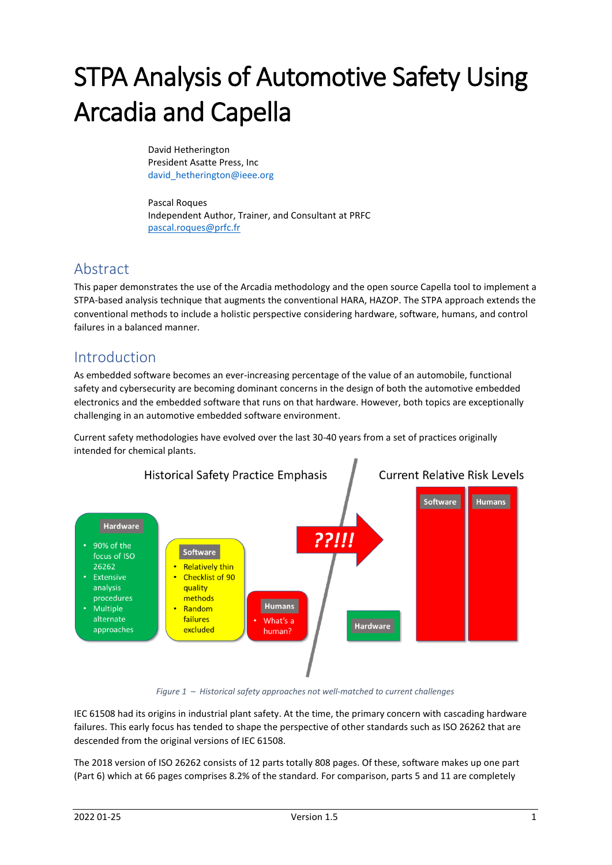# STPA Analysis of Automotive Safety Using Arcadia and Capella

David Hetherington President Asatte Press, Inc david hetherington@ieee.org

Pascal Roques Independent Author, Trainer, and Consultant at PRFC [pascal.roques@prfc.fr](mailto:pascal.roques@prfc.fr)

### Abstract

This paper demonstrates the use of the Arcadia methodology and the open source Capella tool to implement a STPA-based analysis technique that augments the conventional HARA, HAZOP. The STPA approach extends the conventional methods to include a holistic perspective considering hardware, software, humans, and control failures in a balanced manner.

### Introduction

As embedded software becomes an ever-increasing percentage of the value of an automobile, functional safety and cybersecurity are becoming dominant concerns in the design of both the automotive embedded electronics and the embedded software that runs on that hardware. However, both topics are exceptionally challenging in an automotive embedded software environment.

Current safety methodologies have evolved over the last 30-40 years from a set of practices originally intended for chemical plants.



*Figure 1 – Historical safety approaches not well-matched to current challenges*

IEC 61508 had its origins in industrial plant safety. At the time, the primary concern with cascading hardware failures. This early focus has tended to shape the perspective of other standards such as ISO 26262 that are descended from the original versions of IEC 61508.

The 2018 version of ISO 26262 consists of 12 parts totally 808 pages. Of these, software makes up one part (Part 6) which at 66 pages comprises 8.2% of the standard. For comparison, parts 5 and 11 are completely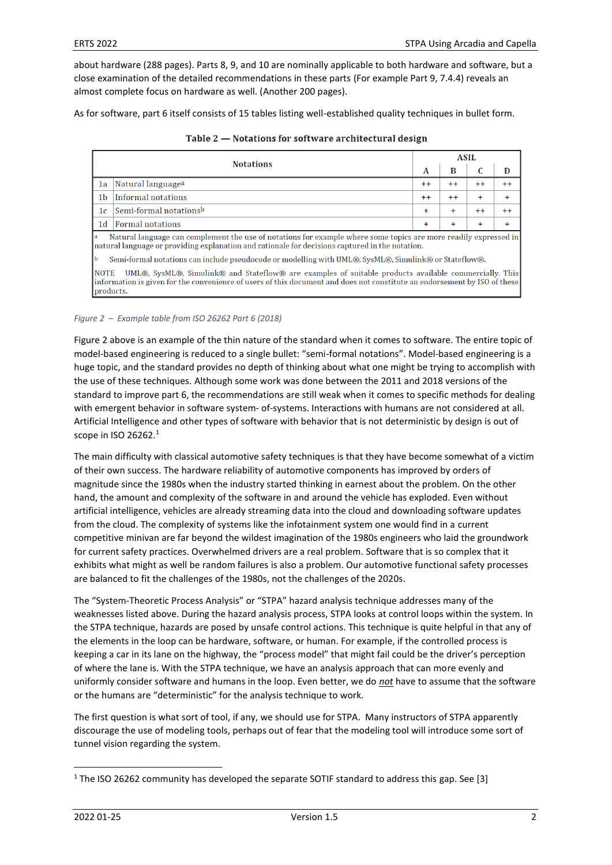about hardware (288 pages). Parts 8, 9, and 10 are nominally applicable to both hardware and software, but a close examination of the detailed recommendations in these parts (For example Part 9, 7.4.4) reveals an almost complete focus on hardware as well. (Another 200 pages).

As for software, part 6 itself consists of 15 tables listing well-established quality techniques in bullet form.

| <b>Notations</b>                                                                                                                                                                                                                                               |                               |  | <b>ASIL</b> |         |      |  |  |
|----------------------------------------------------------------------------------------------------------------------------------------------------------------------------------------------------------------------------------------------------------------|-------------------------------|--|-------------|---------|------|--|--|
|                                                                                                                                                                                                                                                                |                               |  | B           |         | D    |  |  |
| 1a                                                                                                                                                                                                                                                             | Natural language <sup>a</sup> |  |             | $^{++}$ | $++$ |  |  |
| 1 <sub>b</sub>                                                                                                                                                                                                                                                 | Informal notations            |  |             | $+$     | ÷    |  |  |
| 1c                                                                                                                                                                                                                                                             | Semi-formal notationsb        |  | $\ddot{}$   | $++$    | $++$ |  |  |
| 1 <sub>d</sub><br>Formal notations                                                                                                                                                                                                                             |                               |  |             | $\pm$   | +    |  |  |
| Natural language can complement the use of notations for example where some topics are more readily expressed in<br>a<br>natural language or providing explanation and rationale for decisions captured in the notation.                                       |                               |  |             |         |      |  |  |
| <b>b</b><br>Semi-formal notations can include pseudocode or modelling with UML®, SysML®, Simulink® or Stateflow®.                                                                                                                                              |                               |  |             |         |      |  |  |
| <b>NOTE</b><br>UML®, SysML®, Simulink® and Stateflow® are examples of suitable products available commercially. This<br>information is given for the convenience of users of this document and does not constitute an endorsement by ISO of these<br>products. |                               |  |             |         |      |  |  |

| Table 2 - Notations for software architectural design |
|-------------------------------------------------------|
|-------------------------------------------------------|

#### <span id="page-1-0"></span>*Figure 2 – Example table from ISO 26262 Part 6 (2018)*

[Figure 2](#page-1-0) above is an example of the thin nature of the standard when it comes to software. The entire topic of model-based engineering is reduced to a single bullet: "semi-formal notations". Model-based engineering is a huge topic, and the standard provides no depth of thinking about what one might be trying to accomplish with the use of these techniques. Although some work was done between the 2011 and 2018 versions of the standard to improve part 6, the recommendations are still weak when it comes to specific methods for dealing with emergent behavior in software system- of-systems. Interactions with humans are not considered at all. Artificial Intelligence and other types of software with behavior that is not deterministic by design is out of scope in ISO 26262. 1

The main difficulty with classical automotive safety techniques is that they have become somewhat of a victim of their own success. The hardware reliability of automotive components has improved by orders of magnitude since the 1980s when the industry started thinking in earnest about the problem. On the other hand, the amount and complexity of the software in and around the vehicle has exploded. Even without artificial intelligence, vehicles are already streaming data into the cloud and downloading software updates from the cloud. The complexity of systems like the infotainment system one would find in a current competitive minivan are far beyond the wildest imagination of the 1980s engineers who laid the groundwork for current safety practices. Overwhelmed drivers are a real problem. Software that is so complex that it exhibits what might as well be random failures is also a problem. Our automotive functional safety processes are balanced to fit the challenges of the 1980s, not the challenges of the 2020s.

The "System-Theoretic Process Analysis" or "STPA" hazard analysis technique addresses many of the weaknesses listed above. During the hazard analysis process, STPA looks at control loops within the system. In the STPA technique, hazards are posed by unsafe control actions. This technique is quite helpful in that any of the elements in the loop can be hardware, software, or human. For example, if the controlled process is keeping a car in its lane on the highway, the "process model" that might fail could be the driver's perception of where the lane is. With the STPA technique, we have an analysis approach that can more evenly and uniformly consider software and humans in the loop. Even better, we do *not* have to assume that the software or the humans are "deterministic" for the analysis technique to work.

The first question is what sort of tool, if any, we should use for STPA. Many instructors of STPA apparently discourage the use of modeling tools, perhaps out of fear that the modeling tool will introduce some sort of tunnel vision regarding the system.

<sup>&</sup>lt;sup>1</sup> The ISO 26262 community has developed the separate SOTIF standard to address this gap. See [\[3\]](#page-9-0)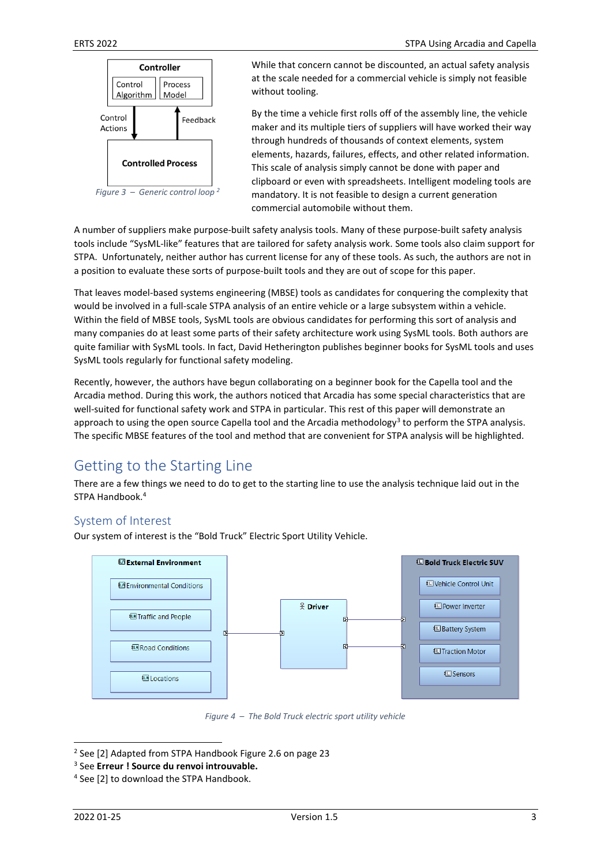

While that concern cannot be discounted, an actual safety analysis at the scale needed for a commercial vehicle is simply not feasible without tooling.

By the time a vehicle first rolls off of the assembly line, the vehicle maker and its multiple tiers of suppliers will have worked their way through hundreds of thousands of context elements, system elements, hazards, failures, effects, and other related information. This scale of analysis simply cannot be done with paper and clipboard or even with spreadsheets. Intelligent modeling tools are mandatory. It is not feasible to design a current generation commercial automobile without them.

A number of suppliers make purpose-built safety analysis tools. Many of these purpose-built safety analysis tools include "SysML-like" features that are tailored for safety analysis work. Some tools also claim support for STPA. Unfortunately, neither author has current license for any of these tools. As such, the authors are not in a position to evaluate these sorts of purpose-built tools and they are out of scope for this paper.

That leaves model-based systems engineering (MBSE) tools as candidates for conquering the complexity that would be involved in a full-scale STPA analysis of an entire vehicle or a large subsystem within a vehicle. Within the field of MBSE tools, SysML tools are obvious candidates for performing this sort of analysis and many companies do at least some parts of their safety architecture work using SysML tools. Both authors are quite familiar with SysML tools. In fact, David Hetherington publishes beginner books for SysML tools and uses SysML tools regularly for functional safety modeling.

Recently, however, the authors have begun collaborating on a beginner book for the Capella tool and the Arcadia method. During this work, the authors noticed that Arcadia has some special characteristics that are well-suited for functional safety work and STPA in particular. This rest of this paper will demonstrate an approach to using the open source Capella tool and the Arcadia methodology<sup>3</sup> to perform the STPA analysis. The specific MBSE features of the tool and method that are convenient for STPA analysis will be highlighted.

### Getting to the Starting Line

There are a few things we need to do to get to the starting line to use the analysis technique laid out in the STPA Handbook.<sup>4</sup>

### System of Interest

Our system of interest is the "Bold Truck" Electric Sport Utility Vehicle.



*Figure 4 – The Bold Truck electric sport utility vehicle*

<span id="page-2-0"></span><sup>&</sup>lt;sup>2</sup> See [\[2\]](#page-9-1) Adapted from STPA Handbook Figure 2.6 on page 23

<sup>3</sup> See **Erreur ! Source du renvoi introuvable.**

<sup>4</sup> See [\[2\]](#page-9-1) to download the STPA Handbook.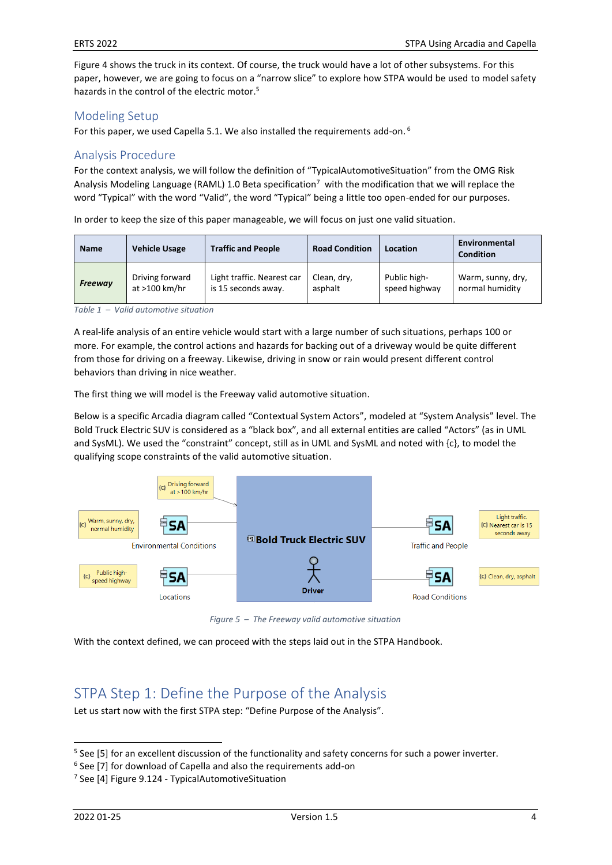[Figure 4](#page-2-0) shows the truck in its context. Of course, the truck would have a lot of other subsystems. For this paper, however, we are going to focus on a "narrow slice" to explore how STPA would be used to model safety hazards in the control of the electric motor. 5

#### Modeling Setup

For this paper, we used Capella 5.1. We also installed the requirements add-on. <sup>6</sup>

#### Analysis Procedure

For the context analysis, we will follow the definition of "TypicalAutomotiveSituation" from the OMG Risk Analysis Modeling Language (RAML) 1.0 Beta specification<sup>7</sup> with the modification that we will replace the word "Typical" with the word "Valid", the word "Typical" being a little too open-ended for our purposes.

In order to keep the size of this paper manageable, we will focus on just one valid situation.

| <b>Name</b>    | <b>Vehicle Usage</b> | <b>Traffic and People</b>  | <b>Road Condition</b> | Location      | Environmental<br><b>Condition</b> |
|----------------|----------------------|----------------------------|-----------------------|---------------|-----------------------------------|
| <b>Freeway</b> | Driving forward      | Light traffic. Nearest car | Clean, dry,           | Public high-  | Warm, sunny, dry,                 |
|                | at $>100$ km/hr      | is 15 seconds away.        | asphalt               | speed highway | normal humidity                   |

*Table 1 – Valid automotive situation*

A real-life analysis of an entire vehicle would start with a large number of such situations, perhaps 100 or more. For example, the control actions and hazards for backing out of a driveway would be quite different from those for driving on a freeway. Likewise, driving in snow or rain would present different control behaviors than driving in nice weather.

The first thing we will model is the Freeway valid automotive situation.

Below is a specific Arcadia diagram called "Contextual System Actors", modeled at "System Analysis" level. The Bold Truck Electric SUV is considered as a "black box", and all external entities are called "Actors" (as in UML and SysML). We used the "constraint" concept, still as in UML and SysML and noted with {c}, to model the qualifying scope constraints of the valid automotive situation.



*Figure 5 – The Freeway valid automotive situation*

With the context defined, we can proceed with the steps laid out in the STPA Handbook.

# STPA Step 1: Define the Purpose of the Analysis

Let us start now with the first STPA step: "Define Purpose of the Analysis".

<sup>&</sup>lt;sup>5</sup> See [\[5\]](#page-9-2) for an excellent discussion of the functionality and safety concerns for such a power inverter.

<sup>6</sup> See [\[7\]](#page-9-3) for download of Capella and also the requirements add-on

<sup>7</sup> See [\[4\]](#page-9-4) Figure 9.124 - TypicalAutomotiveSituation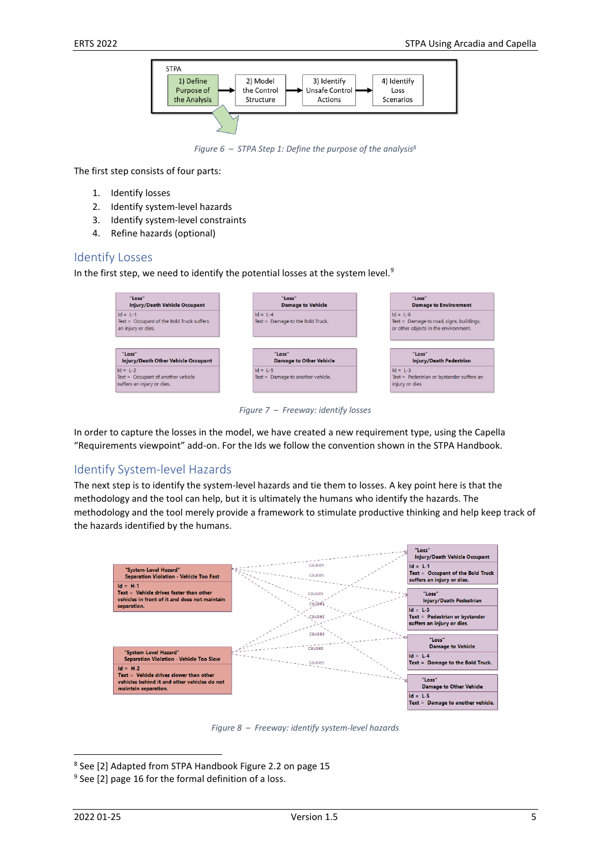

*Figure 6 – STPA Step 1: Define the purpose of the analysis<sup>8</sup>*

The first step consists of four parts:

- 1. Identify losses
- 2. Identify system-level hazards
- 3. Identify system-level constraints
- 4. Refine hazards (optional)

#### Identify Losses

In the first step, we need to identify the potential losses at the system level.<sup>9</sup>

| "Loss"<br><b>Injury/Death Vehicle Occupant</b>                                | "Loss"<br><b>Damage to Vehicle</b>             | "Loss"<br><b>Damage to Environment</b>                                                         |
|-------------------------------------------------------------------------------|------------------------------------------------|------------------------------------------------------------------------------------------------|
| $Id = L-1$<br>Text = Occupant of the Bold Truck suffers<br>an injury or dies. | $Id = L-4$<br>Text = Damage to the Bold Truck. | $Id = L-6$<br>Text = Damage to road, signs, buildings,<br>or other objects in the environment. |
| "Loss"                                                                        | "Loss"                                         | "Loss"                                                                                         |
| Injury/Death Other Vehicle Occupant                                           | <b>Damage to Other Vehicle</b>                 | <b>Injury/Death Pedestrian</b>                                                                 |

*Figure 7 – Freeway: identify losses*

In order to capture the losses in the model, we have created a new requirement type, using the Capella "Requirements viewpoint" add-on. For the Ids we follow the convention shown in the STPA Handbook.

#### Identify System-level Hazards

The next step is to identify the system-level hazards and tie them to losses. A key point here is that the methodology and the tool can help, but it is ultimately the humans who identify the hazards. The methodology and the tool merely provide a framework to stimulate productive thinking and help keep track of the hazards identified by the humans.



*Figure 8 – Freeway: identify system-level hazards*

<sup>&</sup>lt;sup>8</sup> See [\[2\]](#page-9-1) Adapted from STPA Handbook Figure 2.2 on page 15

<sup>&</sup>lt;sup>9</sup> See [\[2\]](#page-9-1) page 16 for the formal definition of a loss.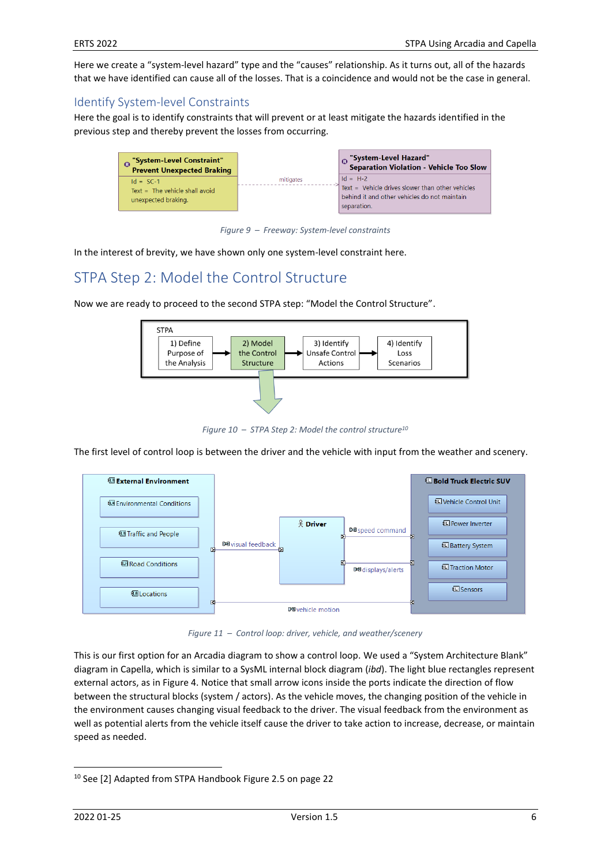Here we create a "system-level hazard" type and the "causes" relationship. As it turns out, all of the hazards that we have identified can cause all of the losses. That is a coincidence and would not be the case in general.

#### Identify System-level Constraints

Here the goal is to identify constraints that will prevent or at least mitigate the hazards identified in the previous step and thereby prevent the losses from occurring.

| "System-Level Constraint"<br><b>Prevent Unexpected Braking</b>       |           | $\overline{\phantom{a}}_\mathbf{\odot}$ "System-Level Hazard" $\overline{\phantom{a}}$<br><b>Separation Violation - Vehicle Too Slow</b> |  |
|----------------------------------------------------------------------|-----------|------------------------------------------------------------------------------------------------------------------------------------------|--|
| $Id = SC-1$<br>Text = The vehicle shall avoid<br>unexpected braking. | mitigates | $Id = H-2$<br>Text = Vehicle drives slower than other vehicles<br>behind it and other vehicles do not maintain<br>separation.            |  |

*Figure 9 – Freeway: System-level constraints*

<span id="page-5-0"></span>In the interest of brevity, we have shown only one system-level constraint here.

# STPA Step 2: Model the Control Structure

Now we are ready to proceed to the second STPA step: "Model the Control Structure".



*Figure 10 – STPA Step 2: Model the control structure<sup>10</sup>*

The first level of control loop is between the driver and the vehicle with input from the weather and scenery.



*Figure 11 – Control loop: driver, vehicle, and weather/scenery*

This is our first option for an Arcadia diagram to show a control loop. We used a "System Architecture Blank" diagram in Capella, which is similar to a SysML internal block diagram (*ibd*). The light blue rectangles represent external actors, as i[n Figure 4.](#page-2-0) Notice that small arrow icons inside the ports indicate the direction of flow between the structural blocks (system / actors). As the vehicle moves, the changing position of the vehicle in the environment causes changing visual feedback to the driver. The visual feedback from the environment as well as potential alerts from the vehicle itself cause the driver to take action to increase, decrease, or maintain speed as needed.

<sup>10</sup> Se[e \[2\]](#page-9-1) Adapted from STPA Handbook Figure 2.5 on page 22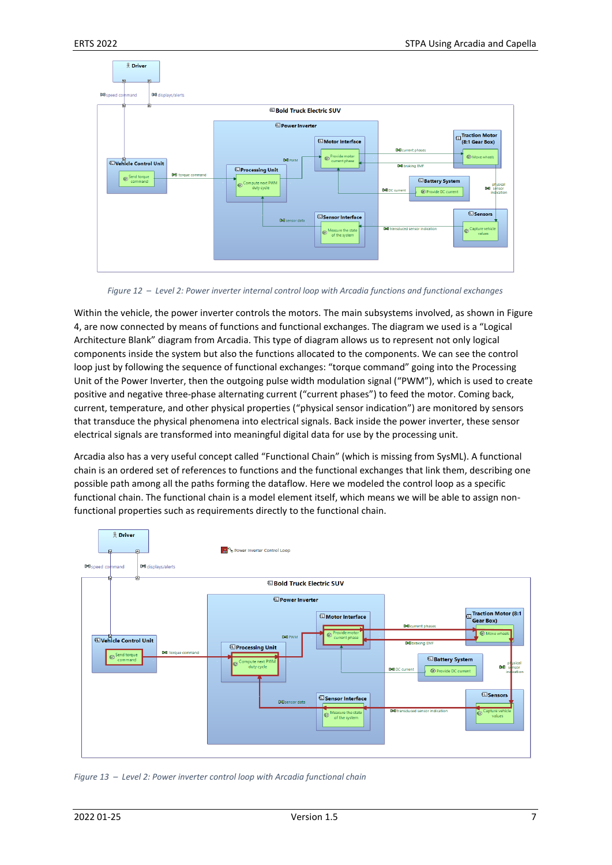

*Figure 12 – Level 2: Power inverter internal control loop with Arcadia functions and functional exchanges*

Within the vehicle, the power inverter controls the motors. The main subsystems involved, as shown in [Figure](#page-2-0)  [4](#page-2-0), are now connected by means of functions and functional exchanges. The diagram we used is a "Logical Architecture Blank" diagram from Arcadia. This type of diagram allows us to represent not only logical components inside the system but also the functions allocated to the components. We can see the control loop just by following the sequence of functional exchanges: "torque command" going into the Processing Unit of the Power Inverter, then the outgoing pulse width modulation signal ("PWM"), which is used to create positive and negative three-phase alternating current ("current phases") to feed the motor. Coming back, current, temperature, and other physical properties ("physical sensor indication") are monitored by sensors that transduce the physical phenomena into electrical signals. Back inside the power inverter, these sensor electrical signals are transformed into meaningful digital data for use by the processing unit.

Arcadia also has a very useful concept called "Functional Chain" (which is missing from SysML). A functional chain is an ordered set of references to functions and the functional exchanges that link them, describing one possible path among all the paths forming the dataflow. Here we modeled the control loop as a specific functional chain. The functional chain is a model element itself, which means we will be able to assign nonfunctional properties such as requirements directly to the functional chain.



<span id="page-6-0"></span>*Figure 13 – Level 2: Power inverter control loop with Arcadia functional chain*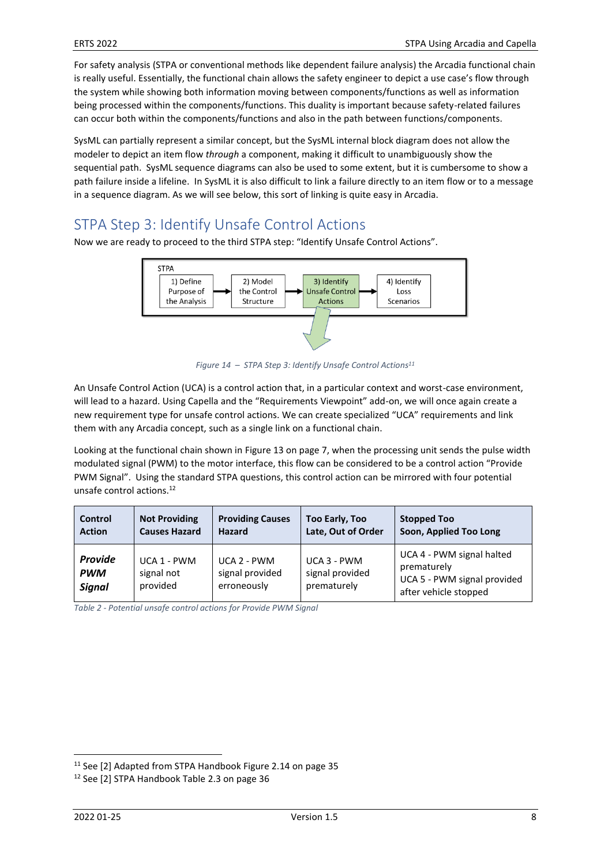For safety analysis (STPA or conventional methods like dependent failure analysis) the Arcadia functional chain is really useful. Essentially, the functional chain allows the safety engineer to depict a use case's flow through the system while showing both information moving between components/functions as well as information being processed within the components/functions. This duality is important because safety-related failures can occur both within the components/functions and also in the path between functions/components.

SysML can partially represent a similar concept, but the SysML internal block diagram does not allow the modeler to depict an item flow *through* a component, making it difficult to unambiguously show the sequential path. SysML sequence diagrams can also be used to some extent, but it is cumbersome to show a path failure inside a lifeline. In SysML it is also difficult to link a failure directly to an item flow or to a message in a sequence diagram. As we will see below, this sort of linking is quite easy in Arcadia.

# STPA Step 3: Identify Unsafe Control Actions

Now we are ready to proceed to the third STPA step: "Identify Unsafe Control Actions".



*Figure 14 – STPA Step 3: Identify Unsafe Control Actions<sup>11</sup>*

An Unsafe Control Action (UCA) is a control action that, in a particular context and worst-case environment, will lead to a hazard. Using Capella and the "Requirements Viewpoint" add-on, we will once again create a new requirement type for unsafe control actions. We can create specialized "UCA" requirements and link them with any Arcadia concept, such as a single link on a functional chain.

Looking at the functional chain shown in [Figure 13](#page-6-0) on page [7,](#page-6-0) when the processing unit sends the pulse width modulated signal (PWM) to the motor interface, this flow can be considered to be a control action "Provide PWM Signal". Using the standard STPA questions, this control action can be mirrored with four potential unsafe control actions.<sup>12</sup>

| Control                                       | <b>Not Providing</b>                         | <b>Providing Causes</b>                         | <b>Too Early, Too</b>                         | <b>Stopped Too</b>                                                                               |
|-----------------------------------------------|----------------------------------------------|-------------------------------------------------|-----------------------------------------------|--------------------------------------------------------------------------------------------------|
| <b>Action</b>                                 | <b>Causes Hazard</b>                         | <b>Hazard</b>                                   | Late, Out of Order                            | Soon, Applied Too Long                                                                           |
| <b>Provide</b><br><b>PWM</b><br><b>Signal</b> | <b>UCA 1 - PWM</b><br>signal not<br>provided | $UCA$ 2 - PWM<br>signal provided<br>erroneously | UCA 3 - PWM<br>signal provided<br>prematurely | UCA 4 - PWM signal halted<br>prematurely<br>UCA 5 - PWM signal provided<br>after vehicle stopped |

*Table 2 - Potential unsafe control actions for Provide PWM Signal*

<sup>&</sup>lt;sup>11</sup> Se[e \[2\]](#page-9-1) Adapted from STPA Handbook Figure 2.14 on page 35

<sup>12</sup> Se[e \[2\]](#page-9-1) STPA Handbook Table 2.3 on page 36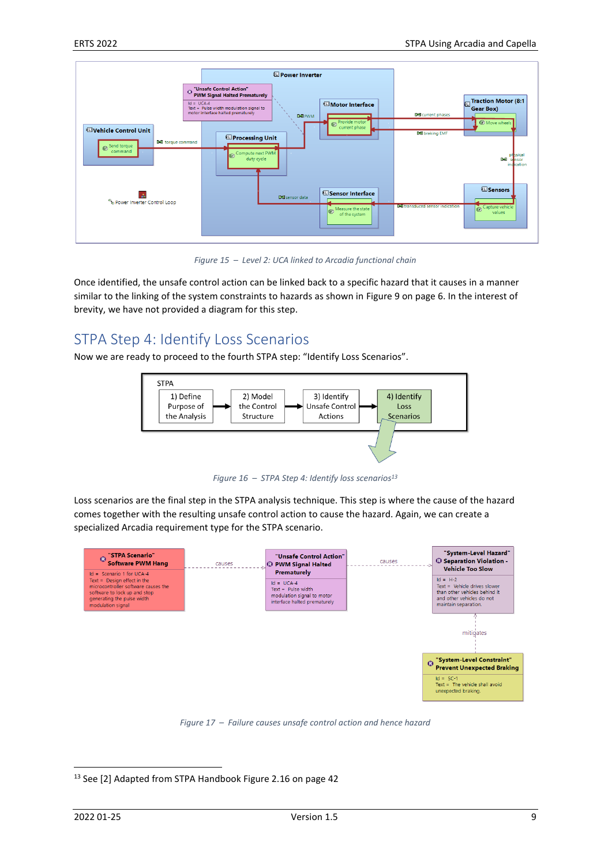

*Figure 15 – Level 2: UCA linked to Arcadia functional chain*

Once identified, the unsafe control action can be linked back to a specific hazard that it causes in a manner similar to the linking of the system constraints to hazards as shown in [Figure 9](#page-5-0) on page [6.](#page-5-0) In the interest of brevity, we have not provided a diagram for this step.

### STPA Step 4: Identify Loss Scenarios

Now we are ready to proceed to the fourth STPA step: "Identify Loss Scenarios".



*Figure 16 – STPA Step 4: Identify loss scenarios<sup>13</sup>*

Loss scenarios are the final step in the STPA analysis technique. This step is where the cause of the hazard comes together with the resulting unsafe control action to cause the hazard. Again, we can create a specialized Arcadia requirement type for the STPA scenario.



*Figure 17 – Failure causes unsafe control action and hence hazard*

<span id="page-8-0"></span><sup>&</sup>lt;sup>13</sup> Se[e \[2\]](#page-9-1) Adapted from STPA Handbook Figure 2.16 on page 42